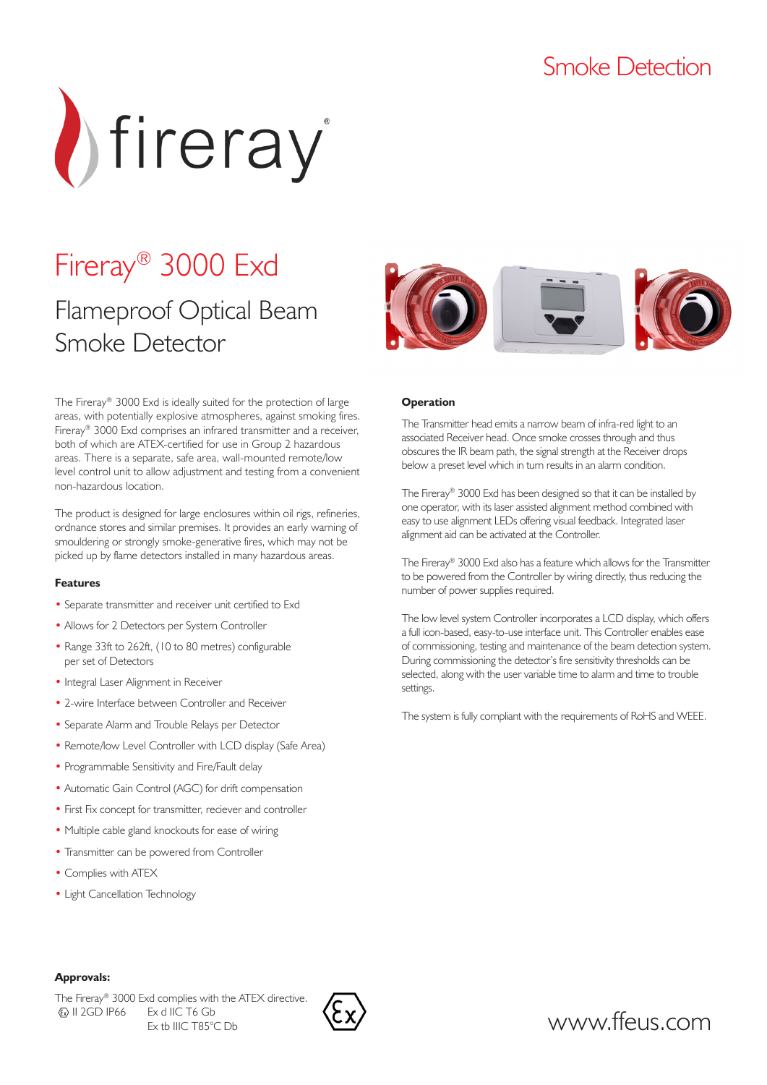### Smoke Detection



# Fireray® 3000 Exd

### Flameproof Optical Beam Smoke Detector

The Fireray® 3000 Exd is ideally suited for the protection of large areas, with potentially explosive atmospheres, against smoking fires. Fireray® 3000 Exd comprises an infrared transmitter and a receiver, both of which are ATEX-certified for use in Group 2 hazardous areas. There is a separate, safe area, wall-mounted remote/low level control unit to allow adjustment and testing from a convenient non-hazardous location.

The product is designed for large enclosures within oil rigs, refineries, ordnance stores and similar premises. It provides an early warning of smouldering or strongly smoke-generative fires, which may not be picked up by flame detectors installed in many hazardous areas.

### **Features**

- Separate transmitter and receiver unit certified to Exd
- Allows for 2 Detectors per System Controller
- Range 33ft to 262ft, (10 to 80 metres) configurable per set of Detectors
- Integral Laser Alignment in Receiver
- 2-wire Interface between Controller and Receiver
- Separate Alarm and Trouble Relays per Detector
- Remote/low Level Controller with LCD display (Safe Area)
- Programmable Sensitivity and Fire/Fault delay
- Automatic Gain Control (AGC) for drift compensation
- First Fix concept for transmitter, reciever and controller
- Multiple cable gland knockouts for ease of wiring
- Transmitter can be powered from Controller
- Complies with ATEX
- Light Cancellation Technology



### **Operation**

The Transmitter head emits a narrow beam of infra-red light to an associated Receiver head. Once smoke crosses through and thus obscures the IR beam path, the signal strength at the Receiver drops below a preset level which in turn results in an alarm condition.

The Fireray® 3000 Exd has been designed so that it can be installed by one operator, with its laser assisted alignment method combined with easy to use alignment LEDs offering visual feedback. Integrated laser alignment aid can be activated at the Controller.

The Fireray® 3000 Exd also has a feature which allows for the Transmitter to be powered from the Controller by wiring directly, thus reducing the number of power supplies required.

The low level system Controller incorporates a LCD display, which offers a full icon-based, easy-to-use interface unit. This Controller enables ease of commissioning, testing and maintenance of the beam detection system. During commissioning the detector's fire sensitivity thresholds can be selected, along with the user variable time to alarm and time to trouble settings.

The system is fully compliant with the requirements of RoHS and WEEE.

### **Approvals:**

The Fireray® 3000 Exd complies with the ATEX directive. II 2GD IP66 Ex d IIC T6 Gb Ex tb IIIC T85°C Db



www.ffeus.com